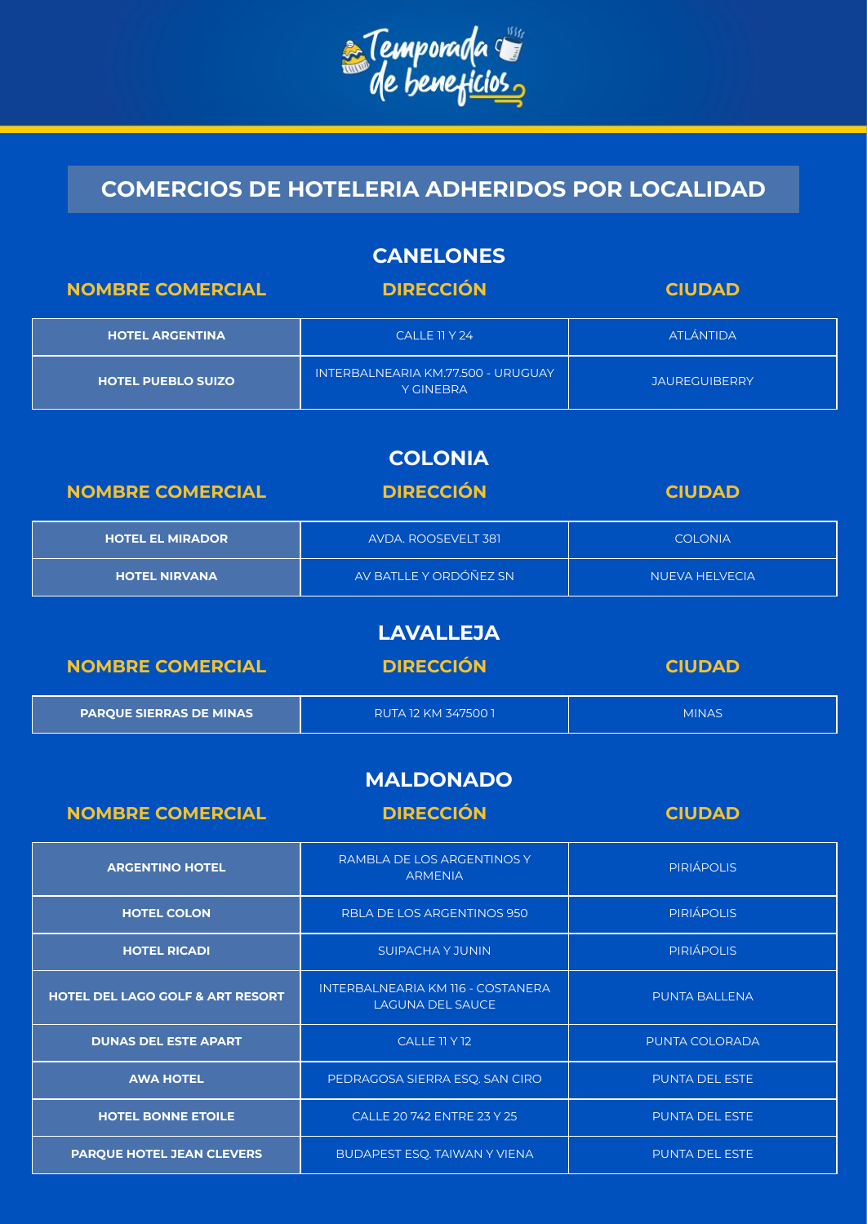

**COMERCIOS DE HOTELERIA ADHERIDOS POR LOCALIDAD**

| <b>CANELONES</b>          |                                                        |                      |
|---------------------------|--------------------------------------------------------|----------------------|
| <b>NOMBRE COMERCIAL</b>   | <b>DIRECCIÓN</b>                                       | <b>CIUDAD</b>        |
| <b>HOTEL ARGENTINA</b>    | CALLE 11 Y 24                                          | <b>ATLÁNTIDA</b>     |
| <b>HOTEL PUEBLO SUIZO</b> | INTERBALNEARIA KM.77.500 - URUGUAY<br><b>Y GINEBRA</b> | <b>JAUREGUIBERRY</b> |
|                           |                                                        |                      |
|                           | <b>COLONIA</b>                                         |                      |
| <b>NOMBRE COMERCIAL</b>   | <b>DIRECCIÓN</b>                                       | <b>CIUDAD</b>        |
| <b>HOTEL EL MIRADOR</b>   | AVDA. ROOSEVELT 381                                    | <b>COLONIA</b>       |
| <b>HOTEL NIRVANA</b>      | AV BATLLE Y ORDÓÑEZ SN                                 | NUEVA HELVECIA       |
|                           |                                                        |                      |

| <b>LAVALLEJA</b>               |                     |               |
|--------------------------------|---------------------|---------------|
| <b>NOMBRE COMERCIAL</b>        | <b>DIRECCIÓN</b>    | <b>CIUDAD</b> |
| <b>PARQUE SIERRAS DE MINAS</b> | RUTA 12 KM 347500 1 | <b>MINAS</b>  |

## **MALDONADO**

| <b>NOMBRE COMERCIAL</b>                     | <b>DIRECCIÓN</b>                                             | <b>CIUDAD</b>         |
|---------------------------------------------|--------------------------------------------------------------|-----------------------|
| <b>ARGENTINO HOTEL</b>                      | RAMBLA DE LOS ARGENTINOS Y<br><b>ARMENIA</b>                 | <b>PIRIÁPOLIS</b>     |
| <b>HOTEL COLON</b>                          | RBLA DE LOS ARGENTINOS 950                                   | <b>PIRIÁPOLIS</b>     |
| <b>HOTEL RICADI</b>                         | SUIPACHA Y JUNIN                                             | <b>PIRIÁPOLIS</b>     |
| <b>HOTEL DEL LAGO GOLF &amp; ART RESORT</b> | INTERBALNEARIA KM 116 - COSTANERA<br><b>LAGUNA DEL SAUCE</b> | <b>PUNTA BALLENA</b>  |
| <b>DUNAS DEL ESTE APART</b>                 | CALLE 11 Y 12                                                | PUNTA COLORADA        |
| <b>AWA HOTEL</b>                            | PEDRAGOSA SIERRA ESQ. SAN CIRO                               | <b>PUNTA DEL ESTE</b> |
| <b>HOTEL BONNE ETOILE</b>                   | CALLE 20 742 ENTRE 23 Y 25                                   | <b>PUNTA DEL ESTE</b> |
| <b>PARQUE HOTEL JEAN CLEVERS</b>            | <b>BUDAPEST ESQ. TAIWAN Y VIENA</b>                          | <b>PUNTA DEL ESTE</b> |